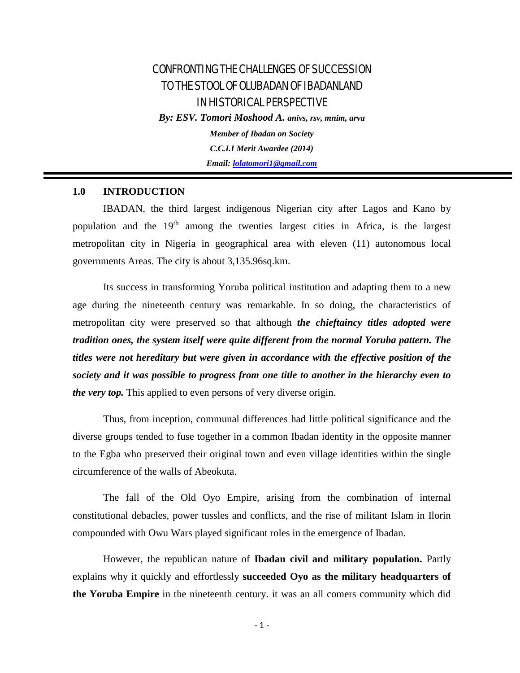# CONFRONTING THE CHALLENGES OF SUCCESSION TO THE STOOL OF OLUBADAN OF IBADANLAND IN HISTORICAL PERSPECTIVE

*By: ESV. Tomori Moshood A. anivs, rsv, mnim, arva*

*Member of Ibadan on Society C.C.I.I Merit Awardee (2014) Email: [lolatomori1@gmail.com](mailto:lolatomori1@gmail.com)*

# **1.0 INTRODUCTION**

IBADAN, the third largest indigenous Nigerian city after Lagos and Kano by population and the 19<sup>th</sup> among the twenties largest cities in Africa, is the largest metropolitan city in Nigeria in geographical area with eleven (11) autonomous local governments Areas. The city is about 3,135.96sq.km.

Its success in transforming Yoruba political institution and adapting them to a new age during the nineteenth century was remarkable. In so doing, the characteristics of metropolitan city were preserved so that although *the chieftaincy titles adopted were tradition ones, the system itself were quite different from the normal Yoruba pattern. The titles were not hereditary but were given in accordance with the effective position of the society and it was possible to progress from one title to another in the hierarchy even to the very top.* This applied to even persons of very diverse origin.

Thus, from inception, communal differences had little political significance and the diverse groups tended to fuse together in a common Ibadan identity in the opposite manner to the Egba who preserved their original town and even village identities within the single circumference of the walls of Abeokuta.

The fall of the Old Oyo Empire, arising from the combination of internal constitutional debacles, power tussles and conflicts, and the rise of militant Islam in Ilorin compounded with Owu Wars played significant roles in the emergence of Ibadan.

However, the republican nature of **Ibadan civil and military population.** Partly explains why it quickly and effortlessly **succeeded Oyo as the military headquarters of the Yoruba Empire** in the nineteenth century. it was an all comers community which did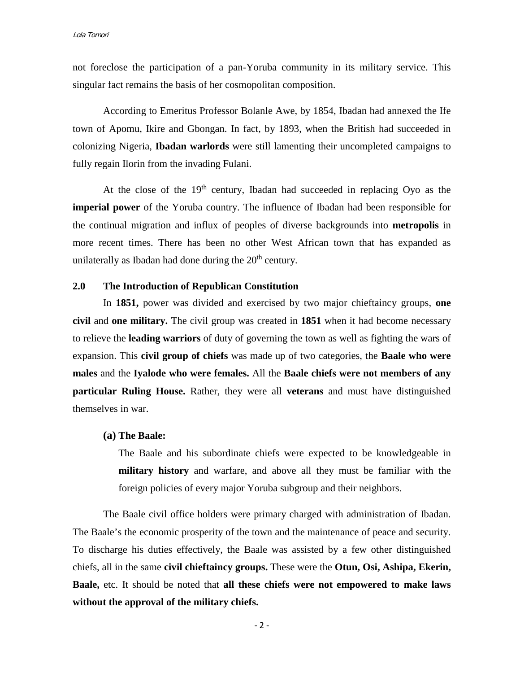not foreclose the participation of a pan-Yoruba community in its military service. This singular fact remains the basis of her cosmopolitan composition.

According to Emeritus Professor Bolanle Awe, by 1854, Ibadan had annexed the Ife town of Apomu, Ikire and Gbongan. In fact, by 1893, when the British had succeeded in colonizing Nigeria, **Ibadan warlords** were still lamenting their uncompleted campaigns to fully regain Ilorin from the invading Fulani.

At the close of the  $19<sup>th</sup>$  century, Ibadan had succeeded in replacing Oyo as the **imperial power** of the Yoruba country. The influence of Ibadan had been responsible for the continual migration and influx of peoples of diverse backgrounds into **metropolis** in more recent times. There has been no other West African town that has expanded as unilaterally as Ibadan had done during the  $20<sup>th</sup>$  century.

### **2.0 The Introduction of Republican Constitution**

In **1851,** power was divided and exercised by two major chieftaincy groups, **one civil** and **one military.** The civil group was created in **1851** when it had become necessary to relieve the **leading warriors** of duty of governing the town as well as fighting the wars of expansion. This **civil group of chiefs** was made up of two categories, the **Baale who were males** and the **Iyalode who were females.** All the **Baale chiefs were not members of any particular Ruling House.** Rather, they were all **veterans** and must have distinguished themselves in war.

### **(a) The Baale:**

The Baale and his subordinate chiefs were expected to be knowledgeable in **military history** and warfare, and above all they must be familiar with the foreign policies of every major Yoruba subgroup and their neighbors.

The Baale civil office holders were primary charged with administration of Ibadan. The Baale's the economic prosperity of the town and the maintenance of peace and security. To discharge his duties effectively, the Baale was assisted by a few other distinguished chiefs, all in the same **civil chieftaincy groups.** These were the **Otun, Osi, Ashipa, Ekerin, Baale,** etc. It should be noted that **all these chiefs were not empowered to make laws without the approval of the military chiefs.**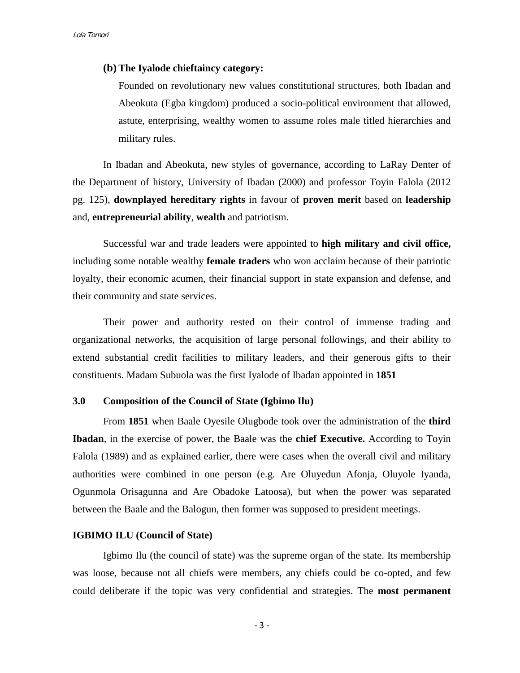#### **(b) The Iyalode chieftaincy category:**

Founded on revolutionary new values constitutional structures, both Ibadan and Abeokuta (Egba kingdom) produced a socio-political environment that allowed, astute, enterprising, wealthy women to assume roles male titled hierarchies and military rules.

In Ibadan and Abeokuta, new styles of governance, according to LaRay Denter of the Department of history, University of Ibadan (2000) and professor Toyin Falola (2012 pg. 125), **downplayed hereditary rights** in favour of **proven merit** based on **leadership** and, **entrepreneurial ability**, **wealth** and patriotism.

Successful war and trade leaders were appointed to **high military and civil office,** including some notable wealthy **female traders** who won acclaim because of their patriotic loyalty, their economic acumen, their financial support in state expansion and defense, and their community and state services.

Their power and authority rested on their control of immense trading and organizational networks, the acquisition of large personal followings, and their ability to extend substantial credit facilities to military leaders, and their generous gifts to their constituents. Madam Subuola was the first Iyalode of Ibadan appointed in **1851**

## **3.0 Composition of the Council of State (Igbimo Ilu)**

From **1851** when Baale Oyesile Olugbode took over the administration of the **third Ibadan**, in the exercise of power, the Baale was the **chief Executive.** According to Toyin Falola (1989) and as explained earlier, there were cases when the overall civil and military authorities were combined in one person (e.g. Are Oluyedun Afonja, Oluyole Iyanda, Ogunmola Orisagunna and Are Obadoke Latoosa), but when the power was separated between the Baale and the Balogun, then former was supposed to president meetings.

### **IGBIMO ILU (Council of State)**

Igbimo Ilu (the council of state) was the supreme organ of the state. Its membership was loose, because not all chiefs were members, any chiefs could be co-opted, and few could deliberate if the topic was very confidential and strategies. The **most permanent**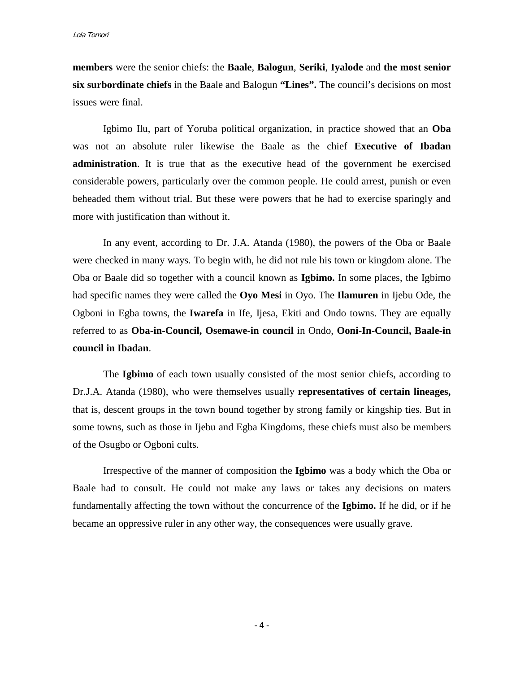**members** were the senior chiefs: the **Baale**, **Balogun**, **Seriki**, **Iyalode** and **the most senior six surbordinate chiefs** in the Baale and Balogun **"Lines".** The council's decisions on most issues were final.

Igbimo Ilu, part of Yoruba political organization, in practice showed that an **Oba** was not an absolute ruler likewise the Baale as the chief **Executive of Ibadan administration**. It is true that as the executive head of the government he exercised considerable powers, particularly over the common people. He could arrest, punish or even beheaded them without trial. But these were powers that he had to exercise sparingly and more with justification than without it.

In any event, according to Dr. J.A. Atanda (1980), the powers of the Oba or Baale were checked in many ways. To begin with, he did not rule his town or kingdom alone. The Oba or Baale did so together with a council known as **Igbimo.** In some places, the Igbimo had specific names they were called the **Oyo Mesi** in Oyo. The **Ilamuren** in Ijebu Ode, the Ogboni in Egba towns, the **Iwarefa** in Ife, Ijesa, Ekiti and Ondo towns. They are equally referred to as **Oba-in-Council, Osemawe-in council** in Ondo, **Ooni-In-Council, Baale-in council in Ibadan**.

The **Igbimo** of each town usually consisted of the most senior chiefs, according to Dr.J.A. Atanda (1980), who were themselves usually **representatives of certain lineages,**  that is, descent groups in the town bound together by strong family or kingship ties. But in some towns, such as those in Ijebu and Egba Kingdoms, these chiefs must also be members of the Osugbo or Ogboni cults.

Irrespective of the manner of composition the **Igbimo** was a body which the Oba or Baale had to consult. He could not make any laws or takes any decisions on maters fundamentally affecting the town without the concurrence of the **Igbimo.** If he did, or if he became an oppressive ruler in any other way, the consequences were usually grave.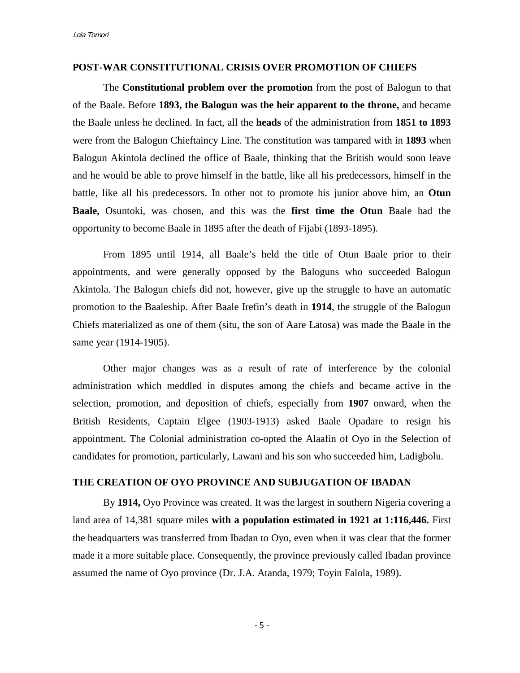#### **POST-WAR CONSTITUTIONAL CRISIS OVER PROMOTION OF CHIEFS**

The **Constitutional problem over the promotion** from the post of Balogun to that of the Baale. Before **1893, the Balogun was the heir apparent to the throne,** and became the Baale unless he declined. In fact, all the **heads** of the administration from **1851 to 1893** were from the Balogun Chieftaincy Line. The constitution was tampared with in **1893** when Balogun Akintola declined the office of Baale, thinking that the British would soon leave and he would be able to prove himself in the battle, like all his predecessors, himself in the battle, like all his predecessors. In other not to promote his junior above him, an **Otun Baale,** Osuntoki, was chosen, and this was the **first time the Otun** Baale had the opportunity to become Baale in 1895 after the death of Fijabi (1893-1895).

From 1895 until 1914, all Baale's held the title of Otun Baale prior to their appointments, and were generally opposed by the Baloguns who succeeded Balogun Akintola. The Balogun chiefs did not, however, give up the struggle to have an automatic promotion to the Baaleship. After Baale Irefin's death in **1914**, the struggle of the Balogun Chiefs materialized as one of them (situ, the son of Aare Latosa) was made the Baale in the same year (1914-1905).

Other major changes was as a result of rate of interference by the colonial administration which meddled in disputes among the chiefs and became active in the selection, promotion, and deposition of chiefs, especially from **1907** onward, when the British Residents, Captain Elgee (1903-1913) asked Baale Opadare to resign his appointment. The Colonial administration co-opted the Alaafin of Oyo in the Selection of candidates for promotion, particularly, Lawani and his son who succeeded him, Ladigbolu.

### **THE CREATION OF OYO PROVINCE AND SUBJUGATION OF IBADAN**

By **1914,** Oyo Province was created. It was the largest in southern Nigeria covering a land area of 14,381 square miles **with a population estimated in 1921 at 1:116,446.** First the headquarters was transferred from Ibadan to Oyo, even when it was clear that the former made it a more suitable place. Consequently, the province previously called Ibadan province assumed the name of Oyo province (Dr. J.A. Atanda, 1979; Toyin Falola, 1989).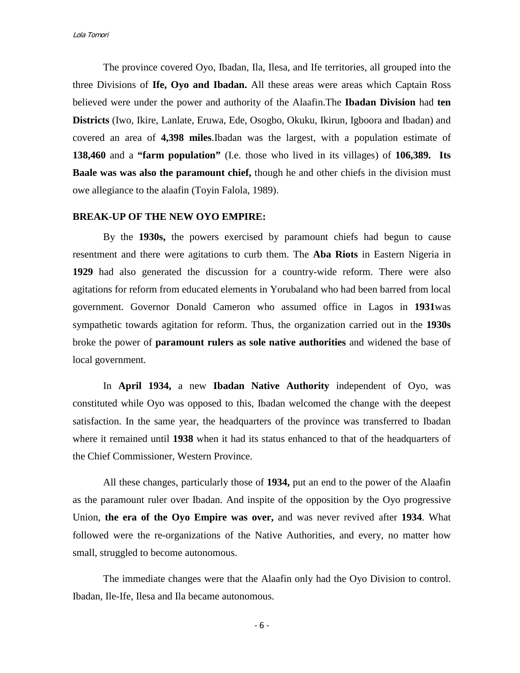The province covered Oyo, Ibadan, Ila, Ilesa, and Ife territories, all grouped into the three Divisions of **Ife, Oyo and Ibadan.** All these areas were areas which Captain Ross believed were under the power and authority of the Alaafin.The **Ibadan Division** had **ten Districts** (Iwo, Ikire, Lanlate, Eruwa, Ede, Osogbo, Okuku, Ikirun, Igboora and Ibadan) and covered an area of **4,398 miles**.Ibadan was the largest, with a population estimate of **138,460** and a **"farm population"** (I.e. those who lived in its villages) of **106,389. Its Baale was was also the paramount chief,** though he and other chiefs in the division must owe allegiance to the alaafin (Toyin Falola, 1989).

### **BREAK-UP OF THE NEW OYO EMPIRE:**

By the **1930s,** the powers exercised by paramount chiefs had begun to cause resentment and there were agitations to curb them. The **Aba Riots** in Eastern Nigeria in **1929** had also generated the discussion for a country-wide reform. There were also agitations for reform from educated elements in Yorubaland who had been barred from local government. Governor Donald Cameron who assumed office in Lagos in **1931**was sympathetic towards agitation for reform. Thus, the organization carried out in the **1930s**  broke the power of **paramount rulers as sole native authorities** and widened the base of local government.

In **April 1934,** a new **Ibadan Native Authority** independent of Oyo, was constituted while Oyo was opposed to this, Ibadan welcomed the change with the deepest satisfaction. In the same year, the headquarters of the province was transferred to Ibadan where it remained until **1938** when it had its status enhanced to that of the headquarters of the Chief Commissioner, Western Province.

All these changes, particularly those of **1934,** put an end to the power of the Alaafin as the paramount ruler over Ibadan. And inspite of the opposition by the Oyo progressive Union, **the era of the Oyo Empire was over,** and was never revived after **1934**. What followed were the re-organizations of the Native Authorities, and every, no matter how small, struggled to become autonomous.

The immediate changes were that the Alaafin only had the Oyo Division to control. Ibadan, Ile-Ife, Ilesa and Ila became autonomous.

- 6 -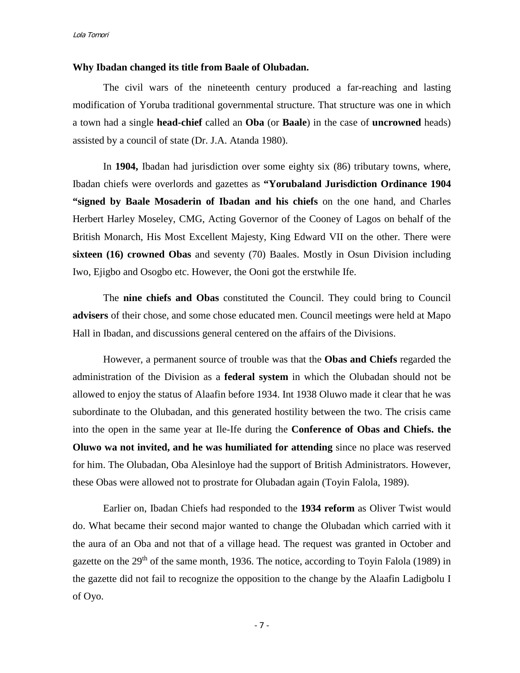#### **Why Ibadan changed its title from Baale of Olubadan.**

The civil wars of the nineteenth century produced a far-reaching and lasting modification of Yoruba traditional governmental structure. That structure was one in which a town had a single **head-chief** called an **Oba** (or **Baale**) in the case of **uncrowned** heads) assisted by a council of state (Dr. J.A. Atanda 1980).

In **1904,** Ibadan had jurisdiction over some eighty six (86) tributary towns, where, Ibadan chiefs were overlords and gazettes as **"Yorubaland Jurisdiction Ordinance 1904 "signed by Baale Mosaderin of Ibadan and his chiefs** on the one hand, and Charles Herbert Harley Moseley, CMG, Acting Governor of the Cooney of Lagos on behalf of the British Monarch, His Most Excellent Majesty, King Edward VII on the other. There were **sixteen (16) crowned Obas** and seventy (70) Baales. Mostly in Osun Division including Iwo, Ejigbo and Osogbo etc. However, the Ooni got the erstwhile Ife.

The **nine chiefs and Obas** constituted the Council. They could bring to Council **advisers** of their chose, and some chose educated men. Council meetings were held at Mapo Hall in Ibadan, and discussions general centered on the affairs of the Divisions.

However, a permanent source of trouble was that the **Obas and Chiefs** regarded the administration of the Division as a **federal system** in which the Olubadan should not be allowed to enjoy the status of Alaafin before 1934. Int 1938 Oluwo made it clear that he was subordinate to the Olubadan, and this generated hostility between the two. The crisis came into the open in the same year at Ile-Ife during the **Conference of Obas and Chiefs. the Oluwo wa not invited, and he was humiliated for attending** since no place was reserved for him. The Olubadan, Oba Alesinloye had the support of British Administrators. However, these Obas were allowed not to prostrate for Olubadan again (Toyin Falola, 1989).

Earlier on, Ibadan Chiefs had responded to the **1934 reform** as Oliver Twist would do. What became their second major wanted to change the Olubadan which carried with it the aura of an Oba and not that of a village head. The request was granted in October and gazette on the 29<sup>th</sup> of the same month, 1936. The notice, according to Toyin Falola (1989) in the gazette did not fail to recognize the opposition to the change by the Alaafin Ladigbolu I of Oyo.

- 7 -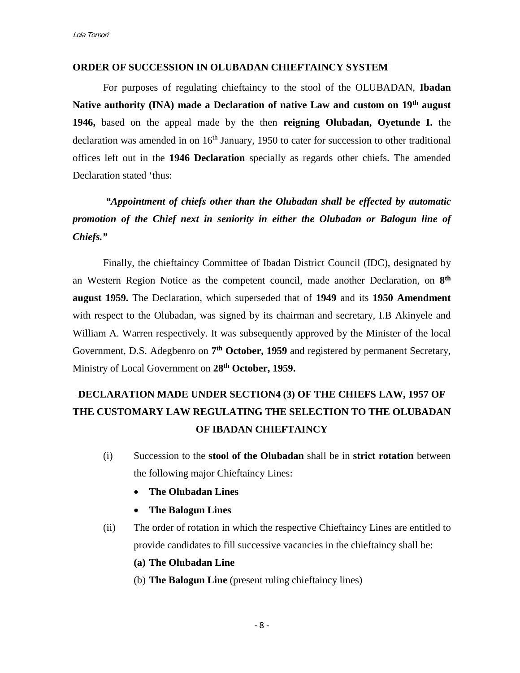### **ORDER OF SUCCESSION IN OLUBADAN CHIEFTAINCY SYSTEM**

For purposes of regulating chieftaincy to the stool of the OLUBADAN, **Ibadan Native authority (INA) made a Declaration of native Law and custom on 19th august 1946,** based on the appeal made by the then **reigning Olubadan, Oyetunde I.** the declaration was amended in on  $16<sup>th</sup>$  January, 1950 to cater for succession to other traditional offices left out in the **1946 Declaration** specially as regards other chiefs. The amended Declaration stated 'thus:

*"Appointment of chiefs other than the Olubadan shall be effected by automatic promotion of the Chief next in seniority in either the Olubadan or Balogun line of Chiefs."*

Finally*,* the chieftaincy Committee of Ibadan District Council (IDC), designated by an Western Region Notice as the competent council, made another Declaration, on **8th august 1959.** The Declaration, which superseded that of **1949** and its **1950 Amendment** with respect to the Olubadan, was signed by its chairman and secretary, I.B Akinyele and William A. Warren respectively. It was subsequently approved by the Minister of the local Government, D.S. Adegbenro on **7th October, 1959** and registered by permanent Secretary, Ministry of Local Government on **28th October, 1959.**

# **DECLARATION MADE UNDER SECTION4 (3) OF THE CHIEFS LAW, 1957 OF THE CUSTOMARY LAW REGULATING THE SELECTION TO THE OLUBADAN OF IBADAN CHIEFTAINCY**

- (i) Succession to the **stool of the Olubadan** shall be in **strict rotation** between the following major Chieftaincy Lines:
	- **The Olubadan Lines**
	- **The Balogun Lines**
- (ii) The order of rotation in which the respective Chieftaincy Lines are entitled to provide candidates to fill successive vacancies in the chieftaincy shall be:
	- **(a) The Olubadan Line**
	- (b) **The Balogun Line** (present ruling chieftaincy lines)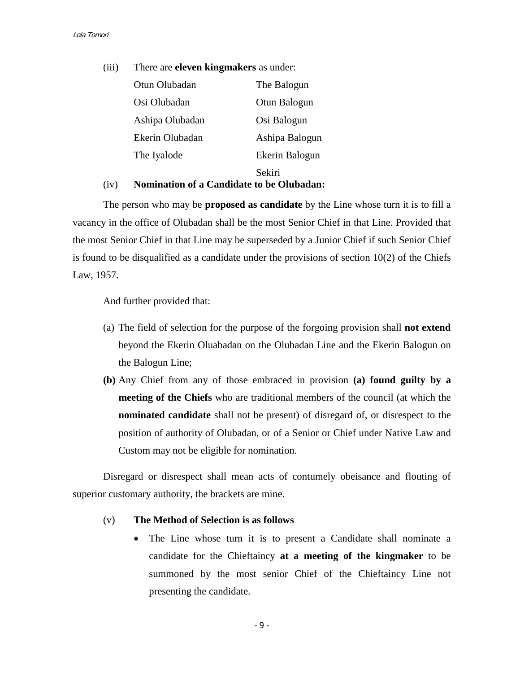(iii) There are **eleven kingmakers** as under: Otun Olubadan The Balogun Osi Olubadan Otun Balogun Ashipa Olubadan Osi Balogun Ekerin Olubadan Ashipa Balogun The Iyalode Ekerin Balogun Sekiri

### (iv) **Nomination of a Candidate to be Olubadan:**

The person who may be **proposed as candidate** by the Line whose turn it is to fill a vacancy in the office of Olubadan shall be the most Senior Chief in that Line. Provided that the most Senior Chief in that Line may be superseded by a Junior Chief if such Senior Chief is found to be disqualified as a candidate under the provisions of section  $10(2)$  of the Chiefs Law, 1957.

And further provided that:

- (a) The field of selection for the purpose of the forgoing provision shall **not extend** beyond the Ekerin Oluabadan on the Olubadan Line and the Ekerin Balogun on the Balogun Line;
- **(b)** Any Chief from any of those embraced in provision **(a) found guilty by a meeting of the Chiefs** who are traditional members of the council (at which the **nominated candidate** shall not be present) of disregard of, or disrespect to the position of authority of Olubadan, or of a Senior or Chief under Native Law and Custom may not be eligible for nomination.

Disregard or disrespect shall mean acts of contumely obeisance and flouting of superior customary authority, the brackets are mine.

### (v) **The Method of Selection is as follows**

• The Line whose turn it is to present a Candidate shall nominate a candidate for the Chieftaincy **at a meeting of the kingmaker** to be summoned by the most senior Chief of the Chieftaincy Line not presenting the candidate.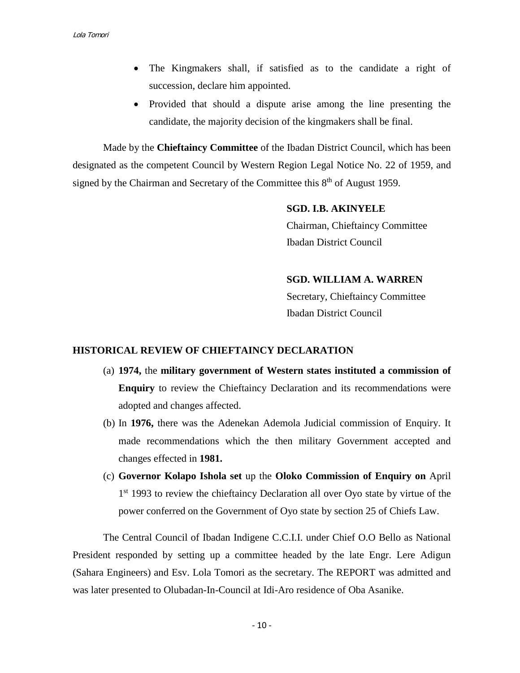- The Kingmakers shall, if satisfied as to the candidate a right of succession, declare him appointed.
- Provided that should a dispute arise among the line presenting the candidate, the majority decision of the kingmakers shall be final.

Made by the **Chieftaincy Committee** of the Ibadan District Council, which has been designated as the competent Council by Western Region Legal Notice No. 22 of 1959, and signed by the Chairman and Secretary of the Committee this  $8<sup>th</sup>$  of August 1959.

> **SGD. I.B. AKINYELE** Chairman, Chieftaincy Committee Ibadan District Council

> **SGD. WILLIAM A. WARREN**  Secretary, Chieftaincy Committee Ibadan District Council

### **HISTORICAL REVIEW OF CHIEFTAINCY DECLARATION**

- (a) **1974,** the **military government of Western states instituted a commission of Enquiry** to review the Chieftaincy Declaration and its recommendations were adopted and changes affected.
- (b) In **1976,** there was the Adenekan Ademola Judicial commission of Enquiry. It made recommendations which the then military Government accepted and changes effected in **1981.**
- (c) **Governor Kolapo Ishola set** up the **Oloko Commission of Enquiry on** April 1<sup>st</sup> 1993 to review the chieftaincy Declaration all over Oyo state by virtue of the power conferred on the Government of Oyo state by section 25 of Chiefs Law.

The Central Council of Ibadan Indigene C.C.I.I. under Chief O.O Bello as National President responded by setting up a committee headed by the late Engr. Lere Adigun (Sahara Engineers) and Esv. Lola Tomori as the secretary. The REPORT was admitted and was later presented to Olubadan-In-Council at Idi-Aro residence of Oba Asanike.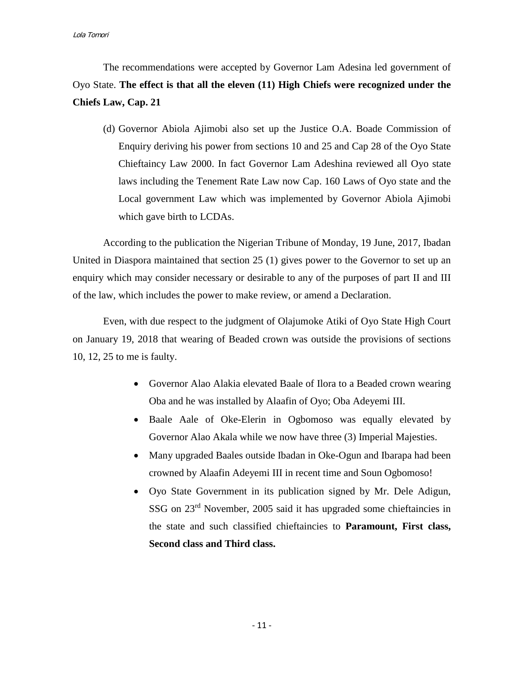Lola Tomori

The recommendations were accepted by Governor Lam Adesina led government of Oyo State. **The effect is that all the eleven (11) High Chiefs were recognized under the Chiefs Law, Cap. 21**

(d) Governor Abiola Ajimobi also set up the Justice O.A. Boade Commission of Enquiry deriving his power from sections 10 and 25 and Cap 28 of the Oyo State Chieftaincy Law 2000. In fact Governor Lam Adeshina reviewed all Oyo state laws including the Tenement Rate Law now Cap. 160 Laws of Oyo state and the Local government Law which was implemented by Governor Abiola Ajimobi which gave birth to LCDAs.

According to the publication the Nigerian Tribune of Monday, 19 June, 2017, Ibadan United in Diaspora maintained that section 25 (1) gives power to the Governor to set up an enquiry which may consider necessary or desirable to any of the purposes of part II and III of the law, which includes the power to make review, or amend a Declaration.

Even, with due respect to the judgment of Olajumoke Atiki of Oyo State High Court on January 19, 2018 that wearing of Beaded crown was outside the provisions of sections 10, 12, 25 to me is faulty.

- Governor Alao Alakia elevated Baale of Ilora to a Beaded crown wearing Oba and he was installed by Alaafin of Oyo; Oba Adeyemi III.
- Baale Aale of Oke-Elerin in Ogbomoso was equally elevated by Governor Alao Akala while we now have three (3) Imperial Majesties.
- Many upgraded Baales outside Ibadan in Oke-Ogun and Ibarapa had been crowned by Alaafin Adeyemi III in recent time and Soun Ogbomoso!
- Oyo State Government in its publication signed by Mr. Dele Adigun, SSG on 23rd November, 2005 said it has upgraded some chieftaincies in the state and such classified chieftaincies to **Paramount, First class, Second class and Third class.**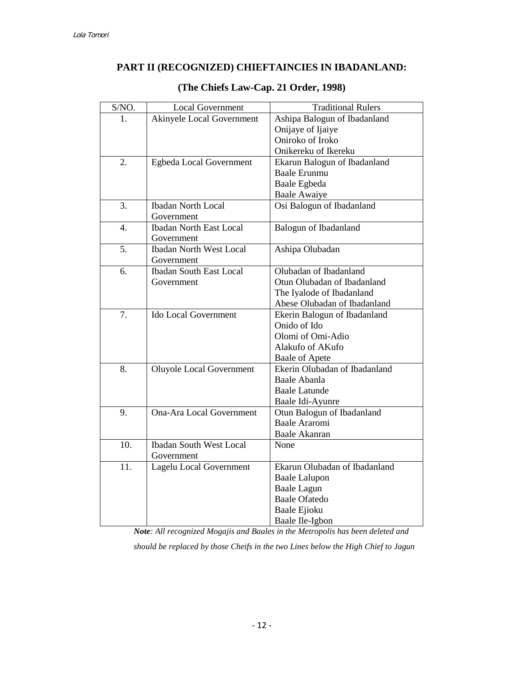# **PART II (RECOGNIZED) CHIEFTAINCIES IN IBADANLAND:**

| S/NO.            | <b>Local Government</b>          | <b>Traditional Rulers</b>     |
|------------------|----------------------------------|-------------------------------|
| 1.               | <b>Akinyele Local Government</b> | Ashipa Balogun of Ibadanland  |
|                  |                                  | Onijaye of Ijaiye             |
|                  |                                  | Oniroko of Iroko              |
|                  |                                  | Onikereku of Ikereku          |
| 2.               | Egbeda Local Government          | Ekarun Balogun of Ibadanland  |
|                  |                                  | <b>Baale Erunmu</b>           |
|                  |                                  | Baale Egbeda                  |
|                  |                                  | <b>Baale Awaiye</b>           |
| 3.               | <b>Ibadan North Local</b>        | Osi Balogun of Ibadanland     |
|                  | Government                       |                               |
| $\overline{4}$ . | <b>Ibadan North East Local</b>   | Balogun of Ibadanland         |
|                  | Government                       |                               |
| 5.               | <b>Ibadan North West Local</b>   | Ashipa Olubadan               |
|                  | Government                       |                               |
| 6.               | <b>Ibadan South East Local</b>   | Olubadan of Ibadanland        |
|                  | Government                       | Otun Olubadan of Ibadanland   |
|                  |                                  | The Iyalode of Ibadanland     |
|                  |                                  | Abese Olubadan of Ibadanland  |
| 7.               | <b>Ido Local Government</b>      | Ekerin Balogun of Ibadanland  |
|                  |                                  | Onido of Ido                  |
|                  |                                  | Olomi of Omi-Adio             |
|                  |                                  | Alakufo of AKufo              |
|                  |                                  | Baale of Apete                |
| 8.               | <b>Oluyole Local Government</b>  | Ekerin Olubadan of Ibadanland |
|                  |                                  | Baale Abanla                  |
|                  |                                  | <b>Baale Latunde</b>          |
|                  |                                  | Baale Idi-Ayunre              |
| 9.               | <b>Ona-Ara Local Government</b>  | Otun Balogun of Ibadanland    |
|                  |                                  | <b>Baale Araromi</b>          |
|                  |                                  | Baale Akanran                 |
| 10.              | <b>Ibadan South West Local</b>   | None                          |
|                  | Government                       |                               |
| 11.              | Lagelu Local Government          | Ekarun Olubadan of Ibadanland |
|                  |                                  | <b>Baale Lalupon</b>          |
|                  |                                  | <b>Baale Lagun</b>            |
|                  |                                  | <b>Baale Ofatedo</b>          |
|                  |                                  | Baale Ejioku                  |
|                  |                                  | Baale Ile-Igbon               |

# **(The Chiefs Law-Cap. 21 Order, 1998)**

*Note: All recognized Mogajis and Baales in the Metropolis has been deleted and* 

*should be replaced by those Cheifs in the two Lines below the High Chief to Jagun*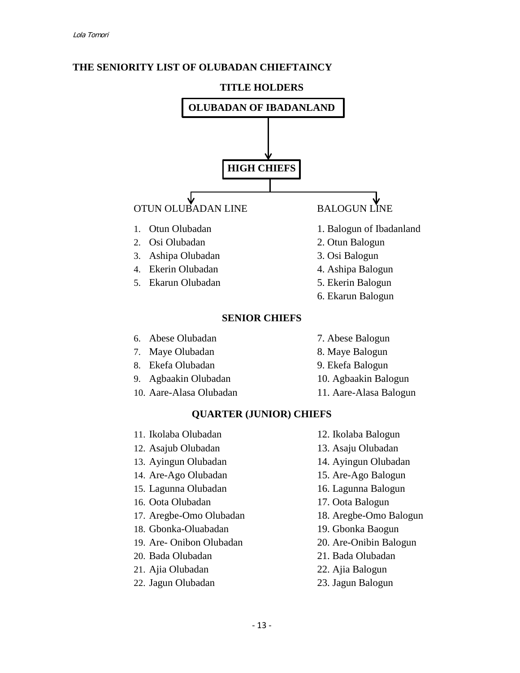

# **THE SENIORITY LIST OF OLUBADAN CHIEFTAINCY**

- 12. Asajub Olubadan 13. Asaju Olubadan 13. Ayingun Olubadan 14. Ayingun Olubadan 14. Are-Ago Olubadan 15. Are-Ago Balogun 15. Lagunna Olubadan 16. Lagunna Balogun 16. Oota Olubadan 17. Oota Balogun 17. Aregbe-Omo Olubadan 18. Aregbe-Omo Balogun 18. Gbonka-Oluabadan 19. Gbonka Baogun 19. Are- Onibon Olubadan 20. Are-Onibin Balogun 20. Bada Olubadan 21. Bada Olubadan 21. Ajia Olubadan 22. Ajia Balogun
- 22. Jagun Olubadan 23. Jagun Balogun
- 
- 
- 
- 
- 
- -
- 
- 
- 
-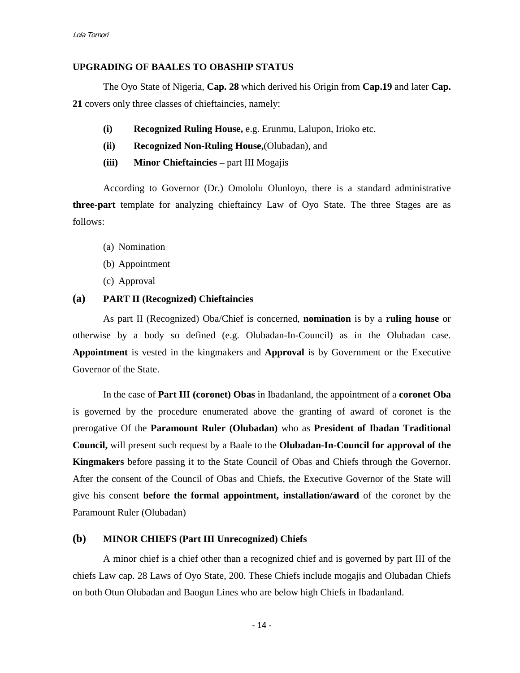### **UPGRADING OF BAALES TO OBASHIP STATUS**

The Oyo State of Nigeria, **Cap. 28** which derived his Origin from **Cap.19** and later **Cap. 21** covers only three classes of chieftaincies, namely:

- **(i) Recognized Ruling House,** e.g. Erunmu, Lalupon, Irioko etc.
- **(ii) Recognized Non-Ruling House,**(Olubadan), and
- **(iii) Minor Chieftaincies –** part III Mogajis

According to Governor (Dr.) Omololu Olunloyo, there is a standard administrative **three-part** template for analyzing chieftaincy Law of Oyo State. The three Stages are as follows:

- (a) Nomination
- (b) Appointment
- (c) Approval

### **(a) PART II (Recognized) Chieftaincies**

As part II (Recognized) Oba/Chief is concerned, **nomination** is by a **ruling house** or otherwise by a body so defined (e.g. Olubadan-In-Council) as in the Olubadan case. **Appointment** is vested in the kingmakers and **Approval** is by Government or the Executive Governor of the State.

In the case of **Part III (coronet) Obas** in Ibadanland, the appointment of a **coronet Oba** is governed by the procedure enumerated above the granting of award of coronet is the prerogative Of the **Paramount Ruler (Olubadan)** who as **President of Ibadan Traditional Council,** will present such request by a Baale to the **Olubadan-In-Council for approval of the Kingmakers** before passing it to the State Council of Obas and Chiefs through the Governor. After the consent of the Council of Obas and Chiefs, the Executive Governor of the State will give his consent **before the formal appointment, installation/award** of the coronet by the Paramount Ruler (Olubadan)

### **(b) MINOR CHIEFS (Part III Unrecognized) Chiefs**

A minor chief is a chief other than a recognized chief and is governed by part III of the chiefs Law cap. 28 Laws of Oyo State, 200. These Chiefs include mogajis and Olubadan Chiefs on both Otun Olubadan and Baogun Lines who are below high Chiefs in Ibadanland.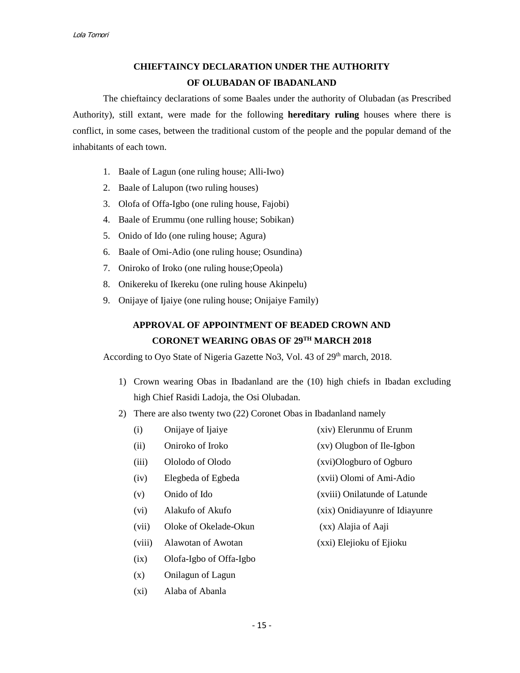# **CHIEFTAINCY DECLARATION UNDER THE AUTHORITY OF OLUBADAN OF IBADANLAND**

The chieftaincy declarations of some Baales under the authority of Olubadan (as Prescribed Authority), still extant, were made for the following **hereditary ruling** houses where there is conflict, in some cases, between the traditional custom of the people and the popular demand of the inhabitants of each town.

- 1. Baale of Lagun (one ruling house; Alli-Iwo)
- 2. Baale of Lalupon (two ruling houses)
- 3. Olofa of Offa-Igbo (one ruling house, Fajobi)
- 4. Baale of Erummu (one rulling house; Sobikan)
- 5. Onido of Ido (one ruling house; Agura)
- 6. Baale of Omi-Adio (one ruling house; Osundina)
- 7. Oniroko of Iroko (one ruling house;Opeola)
- 8. Onikereku of Ikereku (one ruling house Akinpelu)
- 9. Onijaye of Ijaiye (one ruling house; Onijaiye Family)

# **APPROVAL OF APPOINTMENT OF BEADED CROWN AND CORONET WEARING OBAS OF 29TH MARCH 2018**

According to Oyo State of Nigeria Gazette No3, Vol. 43 of 29<sup>th</sup> march, 2018.

- 1) Crown wearing Obas in Ibadanland are the (10) high chiefs in Ibadan excluding high Chief Rasidi Ladoja, the Osi Olubadan.
- 2) There are also twenty two (22) Coronet Obas in Ibadanland namely
	- (i) Onijaye of Ijaiye (xiv) Elerunmu of Erunm
	- (ii) Oniroko of Iroko (xv) Olugbon of Ile-Igbon
	- (iii) Ololodo of Olodo (xvi)Ologburo of Ogburo
	- (iv) Elegbeda of Egbeda (xvii) Olomi of Ami-Adio
	-
	- (vi) Alakufo of Akufo (xix) Onidiayunre of Idiayunre
	- (vii) Oloke of Okelade-Okun (xx) Alajia of Aaji
	- (viii) Alawotan of Awotan (xxi) Elejioku of Ejioku
	- (ix) Olofa-Igbo of Offa-Igbo
	- (x) Onilagun of Lagun
	- (xi) Alaba of Abanla
- 
- 
- 
- (v) Onido of Ido (xviii) Onilatunde of Latunde
	- -